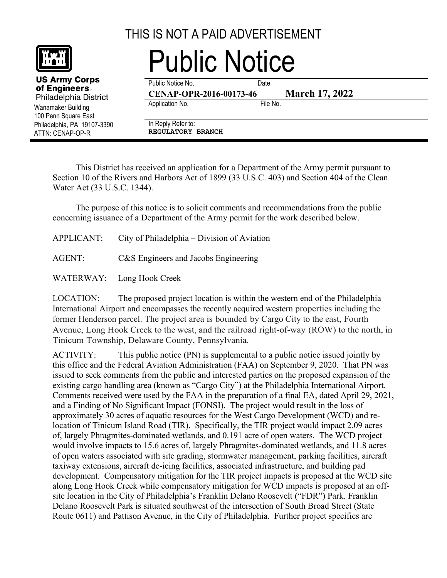## THIS IS NOT A PAID ADVERTISEMENT



Wanamaker Building 100 Penn Square East

**US Army Corps** of Engineers. Philadelphia District

ATTN: CENAP-OP-R

Public Notice

Public Notice No. **Date** 

**CENAP-OPR-2016-00173-46 March 17, 2022**

Application No. **File No.** 

Philadelphia, PA 19107-3390 In Reply Refer to: **REGULATORY BRANCH**

This District has received an application for a Department of the Army permit pursuant to Section 10 of the Rivers and Harbors Act of 1899 (33 U.S.C. 403) and Section 404 of the Clean Water Act (33 U.S.C. 1344).

The purpose of this notice is to solicit comments and recommendations from the public concerning issuance of a Department of the Army permit for the work described below.

| <b>APPLICANT:</b> | City of Philadelphia – Division of Aviation |
|-------------------|---------------------------------------------|
|-------------------|---------------------------------------------|

AGENT: C&S Engineers and Jacobs Engineering

WATERWAY: Long Hook Creek

LOCATION: The proposed project location is within the western end of the Philadelphia International Airport and encompasses the recently acquired western properties including the former Henderson parcel. The project area is bounded by Cargo City to the east, Fourth Avenue, Long Hook Creek to the west, and the railroad right-of-way (ROW) to the north, in Tinicum Township, Delaware County, Pennsylvania.

ACTIVITY: This public notice (PN) is supplemental to a public notice issued jointly by this office and the Federal Aviation Administration (FAA) on September 9, 2020. That PN was issued to seek comments from the public and interested parties on the proposed expansion of the existing cargo handling area (known as "Cargo City") at the Philadelphia International Airport. Comments received were used by the FAA in the preparation of a final EA, dated April 29, 2021, and a Finding of No Significant Impact (FONSI). The project would result in the loss of approximately 30 acres of aquatic resources for the West Cargo Development (WCD) and relocation of Tinicum Island Road (TIR). Specifically, the TIR project would impact 2.09 acres of, largely Phragmites-dominated wetlands, and 0.191 acre of open waters. The WCD project would involve impacts to 15.6 acres of, largely Phragmites-dominated wetlands, and 11.8 acres of open waters associated with site grading, stormwater management, parking facilities, aircraft taxiway extensions, aircraft de-icing facilities, associated infrastructure, and building pad development. Compensatory mitigation for the TIR project impacts is proposed at the WCD site along Long Hook Creek while compensatory mitigation for WCD impacts is proposed at an offsite location in the City of Philadelphia's Franklin Delano Roosevelt ("FDR") Park. Franklin Delano Roosevelt Park is situated southwest of the intersection of South Broad Street (State Route 0611) and Pattison Avenue, in the City of Philadelphia. Further project specifics are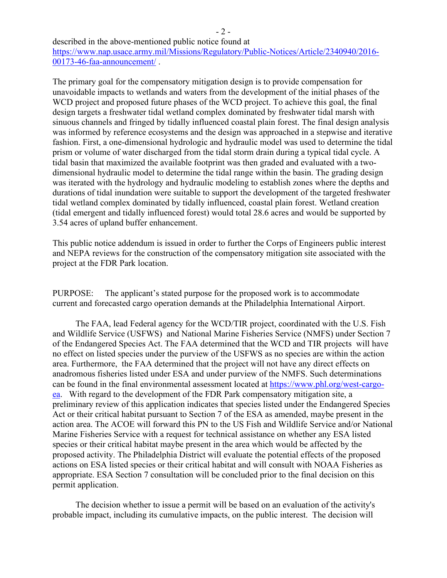described in the above-mentioned public notice found at

[https://www.nap.usace.army.mil/Missions/Regulatory/Public-Notices/Article/2340940/2016-](https://www.nap.usace.army.mil/Missions/Regulatory/Public-Notices/Article/2340940/2016-00173-46-faa-announcement/) [00173-46-faa-announcement/](https://www.nap.usace.army.mil/Missions/Regulatory/Public-Notices/Article/2340940/2016-00173-46-faa-announcement/) .

The primary goal for the compensatory mitigation design is to provide compensation for unavoidable impacts to wetlands and waters from the development of the initial phases of the WCD project and proposed future phases of the WCD project. To achieve this goal, the final design targets a freshwater tidal wetland complex dominated by freshwater tidal marsh with sinuous channels and fringed by tidally influenced coastal plain forest. The final design analysis was informed by reference ecosystems and the design was approached in a stepwise and iterative fashion. First, a one-dimensional hydrologic and hydraulic model was used to determine the tidal prism or volume of water discharged from the tidal storm drain during a typical tidal cycle. A tidal basin that maximized the available footprint was then graded and evaluated with a twodimensional hydraulic model to determine the tidal range within the basin. The grading design was iterated with the hydrology and hydraulic modeling to establish zones where the depths and durations of tidal inundation were suitable to support the development of the targeted freshwater tidal wetland complex dominated by tidally influenced, coastal plain forest. Wetland creation (tidal emergent and tidally influenced forest) would total 28.6 acres and would be supported by 3.54 acres of upland buffer enhancement.

This public notice addendum is issued in order to further the Corps of Engineers public interest and NEPA reviews for the construction of the compensatory mitigation site associated with the project at the FDR Park location.

PURPOSE: The applicant's stated purpose for the proposed work is to accommodate current and forecasted cargo operation demands at the Philadelphia International Airport.

The FAA, lead Federal agency for the WCD/TIR project, coordinated with the U.S. Fish and Wildlife Service (USFWS) and National Marine Fisheries Service (NMFS) under Section 7 of the Endangered Species Act. The FAA determined that the WCD and TIR projects will have no effect on listed species under the purview of the USFWS as no species are within the action area. Furthermore, the FAA determined that the project will not have any direct effects on anadromous fisheries listed under ESA and under purview of the NMFS. Such determinations can be found in the final environmental assessment located at [https://www.phl.org/west-cargo](https://www.phl.org/west-cargo-ea)[ea.](https://www.phl.org/west-cargo-ea) With regard to the development of the FDR Park compensatory mitigation site, a preliminary review of this application indicates that species listed under the Endangered Species Act or their critical habitat pursuant to Section 7 of the ESA as amended, maybe present in the action area. The ACOE will forward this PN to the US Fish and Wildlife Service and/or National Marine Fisheries Service with a request for technical assistance on whether any ESA listed species or their critical habitat maybe present in the area which would be affected by the proposed activity. The Philadelphia District will evaluate the potential effects of the proposed actions on ESA listed species or their critical habitat and will consult with NOAA Fisheries as appropriate. ESA Section 7 consultation will be concluded prior to the final decision on this permit application.

The decision whether to issue a permit will be based on an evaluation of the activity's probable impact, including its cumulative impacts, on the public interest. The decision will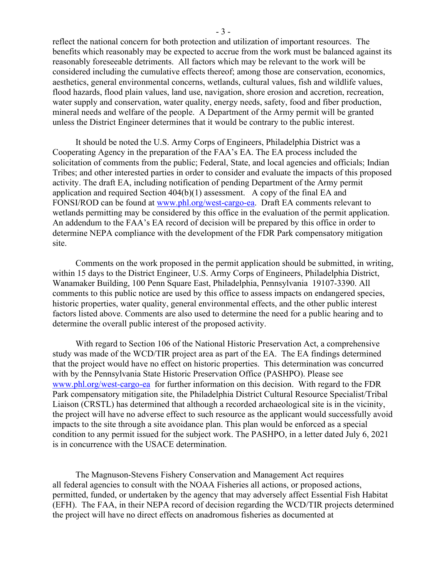reflect the national concern for both protection and utilization of important resources. The benefits which reasonably may be expected to accrue from the work must be balanced against its reasonably foreseeable detriments. All factors which may be relevant to the work will be considered including the cumulative effects thereof; among those are conservation, economics, aesthetics, general environmental concerns, wetlands, cultural values, fish and wildlife values, flood hazards, flood plain values, land use, navigation, shore erosion and accretion, recreation, water supply and conservation, water quality, energy needs, safety, food and fiber production, mineral needs and welfare of the people. A Department of the Army permit will be granted unless the District Engineer determines that it would be contrary to the public interest.

It should be noted the U.S. Army Corps of Engineers, Philadelphia District was a Cooperating Agency in the preparation of the FAA's EA. The EA process included the solicitation of comments from the public; Federal, State, and local agencies and officials; Indian Tribes; and other interested parties in order to consider and evaluate the impacts of this proposed activity. The draft EA, including notification of pending Department of the Army permit application and required Section 404(b)(1) assessment. A copy of the final EA and FONSI/ROD can be found at [www.phl.org/west-cargo-ea.](http://www.phl.org/west-cargo-ea) Draft EA comments relevant to wetlands permitting may be considered by this office in the evaluation of the permit application. An addendum to the FAA's EA record of decision will be prepared by this office in order to determine NEPA compliance with the development of the FDR Park compensatory mitigation site.

Comments on the work proposed in the permit application should be submitted, in writing, within 15 days to the District Engineer, U.S. Army Corps of Engineers, Philadelphia District, Wanamaker Building, 100 Penn Square East, Philadelphia, Pennsylvania 19107-3390. All comments to this public notice are used by this office to assess impacts on endangered species, historic properties, water quality, general environmental effects, and the other public interest factors listed above. Comments are also used to determine the need for a public hearing and to determine the overall public interest of the proposed activity.

With regard to Section 106 of the National Historic Preservation Act, a comprehensive study was made of the WCD/TIR project area as part of the EA. The EA findings determined that the project would have no effect on historic properties. This determination was concurred with by the Pennsylvania State Historic Preservation Office (PASHPO). Please see [www.phl.org/west-cargo-ea](http://www.phl.org/west-cargo-ea) for further information on this decision. With regard to the FDR Park compensatory mitigation site, the Philadelphia District Cultural Resource Specialist/Tribal Liaison (CRSTL) has determined that although a recorded archaeological site is in the vicinity, the project will have no adverse effect to such resource as the applicant would successfully avoid impacts to the site through a site avoidance plan. This plan would be enforced as a special condition to any permit issued for the subject work. The PASHPO, in a letter dated July 6, 2021 is in concurrence with the USACE determination.

The Magnuson‐Stevens Fishery Conservation and Management Act requires all federal agencies to consult with the NOAA Fisheries all actions, or proposed actions, permitted, funded, or undertaken by the agency that may adversely affect Essential Fish Habitat (EFH). The FAA, in their NEPA record of decision regarding the WCD/TIR projects determined the project will have no direct effects on anadromous fisheries as documented at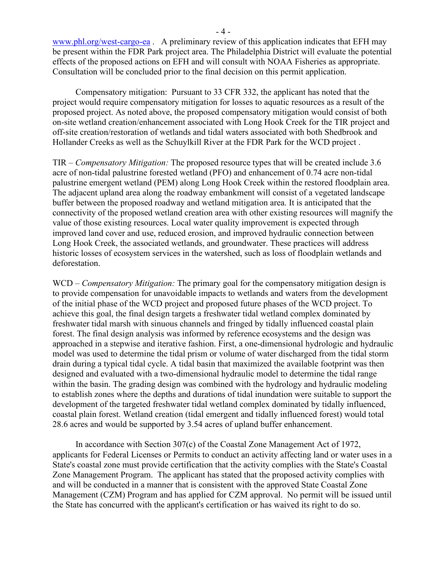[www.phl.org/west-cargo-ea](http://www.phl.org/west-cargo-ea) . A preliminary review of this application indicates that EFH may be present within the FDR Park project area. The Philadelphia District will evaluate the potential effects of the proposed actions on EFH and will consult with NOAA Fisheries as appropriate. Consultation will be concluded prior to the final decision on this permit application.

Compensatory mitigation: Pursuant to 33 CFR 332, the applicant has noted that the project would require compensatory mitigation for losses to aquatic resources as a result of the proposed project. As noted above, the proposed compensatory mitigation would consist of both on-site wetland creation/enhancement associated with Long Hook Creek for the TIR project and off-site creation/restoration of wetlands and tidal waters associated with both Shedbrook and Hollander Creeks as well as the Schuylkill River at the FDR Park for the WCD project .

TIR – *Compensatory Mitigation:* The proposed resource types that will be created include 3.6 acre of non-tidal palustrine forested wetland (PFO) and enhancement of 0.74 acre non-tidal palustrine emergent wetland (PEM) along Long Hook Creek within the restored floodplain area. The adjacent upland area along the roadway embankment will consist of a vegetated landscape buffer between the proposed roadway and wetland mitigation area. It is anticipated that the connectivity of the proposed wetland creation area with other existing resources will magnify the value of those existing resources. Local water quality improvement is expected through improved land cover and use, reduced erosion, and improved hydraulic connection between Long Hook Creek, the associated wetlands, and groundwater. These practices will address historic losses of ecosystem services in the watershed, such as loss of floodplain wetlands and deforestation.

WCD – *Compensatory Mitigation:* The primary goal for the compensatory mitigation design is to provide compensation for unavoidable impacts to wetlands and waters from the development of the initial phase of the WCD project and proposed future phases of the WCD project. To achieve this goal, the final design targets a freshwater tidal wetland complex dominated by freshwater tidal marsh with sinuous channels and fringed by tidally influenced coastal plain forest. The final design analysis was informed by reference ecosystems and the design was approached in a stepwise and iterative fashion. First, a one-dimensional hydrologic and hydraulic model was used to determine the tidal prism or volume of water discharged from the tidal storm drain during a typical tidal cycle. A tidal basin that maximized the available footprint was then designed and evaluated with a two-dimensional hydraulic model to determine the tidal range within the basin. The grading design was combined with the hydrology and hydraulic modeling to establish zones where the depths and durations of tidal inundation were suitable to support the development of the targeted freshwater tidal wetland complex dominated by tidally influenced, coastal plain forest. Wetland creation (tidal emergent and tidally influenced forest) would total 28.6 acres and would be supported by 3.54 acres of upland buffer enhancement.

In accordance with Section 307(c) of the Coastal Zone Management Act of 1972, applicants for Federal Licenses or Permits to conduct an activity affecting land or water uses in a State's coastal zone must provide certification that the activity complies with the State's Coastal Zone Management Program. The applicant has stated that the proposed activity complies with and will be conducted in a manner that is consistent with the approved State Coastal Zone Management (CZM) Program and has applied for CZM approval. No permit will be issued until the State has concurred with the applicant's certification or has waived its right to do so.